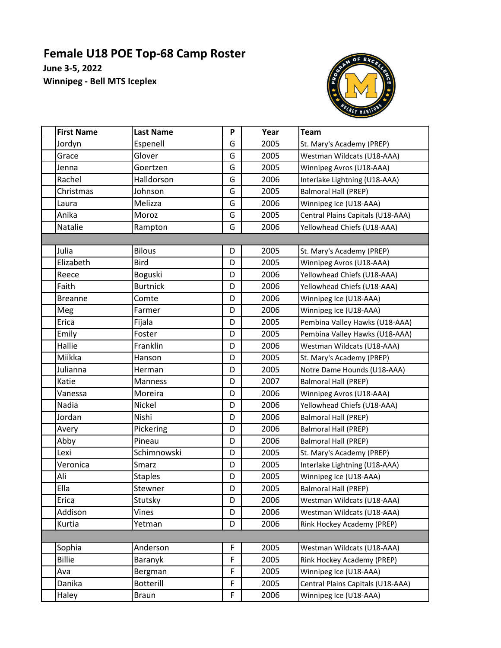## **Female U18 POE Top-68 Camp Roster**

**June 3-5, 2022 Winnipeg - Bell MTS Iceplex**



| <b>First Name</b> | <b>Last Name</b> | P           | Year | <b>Team</b>                       |  |  |  |  |
|-------------------|------------------|-------------|------|-----------------------------------|--|--|--|--|
| Jordyn            | Espenell         | G           | 2005 | St. Mary's Academy (PREP)         |  |  |  |  |
| Grace             | Glover           | G           | 2005 | Westman Wildcats (U18-AAA)        |  |  |  |  |
| Jenna             | Goertzen         | G           | 2005 | Winnipeg Avros (U18-AAA)          |  |  |  |  |
| Rachel            | Halldorson       | G           | 2006 | Interlake Lightning (U18-AAA)     |  |  |  |  |
| Christmas         | Johnson          | G           | 2005 | Balmoral Hall (PREP)              |  |  |  |  |
| Laura             | Melizza          | G           | 2006 | Winnipeg Ice (U18-AAA)            |  |  |  |  |
| Anika             | Moroz            | G           | 2005 | Central Plains Capitals (U18-AAA) |  |  |  |  |
| Natalie           | Rampton          | G           | 2006 | Yellowhead Chiefs (U18-AAA)       |  |  |  |  |
|                   |                  |             |      |                                   |  |  |  |  |
| Julia             | <b>Bilous</b>    | D           | 2005 | St. Mary's Academy (PREP)         |  |  |  |  |
| Elizabeth         | <b>Bird</b>      | D           | 2005 | Winnipeg Avros (U18-AAA)          |  |  |  |  |
| Reece             | Boguski          | D           | 2006 | Yellowhead Chiefs (U18-AAA)       |  |  |  |  |
| Faith             | <b>Burtnick</b>  | D           | 2006 | Yellowhead Chiefs (U18-AAA)       |  |  |  |  |
| <b>Breanne</b>    | Comte            | D           | 2006 | Winnipeg Ice (U18-AAA)            |  |  |  |  |
| Meg               | Farmer           | D           | 2006 | Winnipeg Ice (U18-AAA)            |  |  |  |  |
| Erica             | Fijala           | D           | 2005 | Pembina Valley Hawks (U18-AAA)    |  |  |  |  |
| Emily             | Foster           | D           | 2005 | Pembina Valley Hawks (U18-AAA)    |  |  |  |  |
| Hallie            | Franklin         | D           | 2006 | Westman Wildcats (U18-AAA)        |  |  |  |  |
| Miikka            | Hanson           | D           | 2005 | St. Mary's Academy (PREP)         |  |  |  |  |
| Julianna          | Herman           | D           | 2005 | Notre Dame Hounds (U18-AAA)       |  |  |  |  |
| Katie             | Manness          | D           | 2007 | <b>Balmoral Hall (PREP)</b>       |  |  |  |  |
| Vanessa           | Moreira          | D           | 2006 | Winnipeg Avros (U18-AAA)          |  |  |  |  |
| Nadia             | Nickel           | D           | 2006 | Yellowhead Chiefs (U18-AAA)       |  |  |  |  |
| Jordan            | Nishi            | D           | 2006 | <b>Balmoral Hall (PREP)</b>       |  |  |  |  |
| Avery             | <b>Pickering</b> | D           | 2006 | <b>Balmoral Hall (PREP)</b>       |  |  |  |  |
| Abby              | Pineau           | D           | 2006 | Balmoral Hall (PREP)              |  |  |  |  |
| Lexi              | Schimnowski      | D           | 2005 | St. Mary's Academy (PREP)         |  |  |  |  |
| Veronica          | Smarz            | D           | 2005 | Interlake Lightning (U18-AAA)     |  |  |  |  |
| Ali               | <b>Staples</b>   | D           | 2005 | Winnipeg Ice (U18-AAA)            |  |  |  |  |
| Ella              | Stewner          | D           | 2005 | <b>Balmoral Hall (PREP)</b>       |  |  |  |  |
| Erica             | Stutsky          | D           | 2006 | Westman Wildcats (U18-AAA)        |  |  |  |  |
| Addison           | Vines            | D           | 2006 | Westman Wildcats (U18-AAA)        |  |  |  |  |
| Kurtia            | Yetman           | D           | 2006 | Rink Hockey Academy (PREP)        |  |  |  |  |
|                   |                  |             |      |                                   |  |  |  |  |
| Sophia            | Anderson         | F           | 2005 | Westman Wildcats (U18-AAA)        |  |  |  |  |
| <b>Billie</b>     | Baranyk          | $\mathsf F$ | 2005 | Rink Hockey Academy (PREP)        |  |  |  |  |
| Ava               | Bergman          | F           | 2005 | Winnipeg Ice (U18-AAA)            |  |  |  |  |
| Danika            | <b>Botterill</b> | F           | 2005 | Central Plains Capitals (U18-AAA) |  |  |  |  |
| Haley             | <b>Braun</b>     | F           | 2006 | Winnipeg Ice (U18-AAA)            |  |  |  |  |